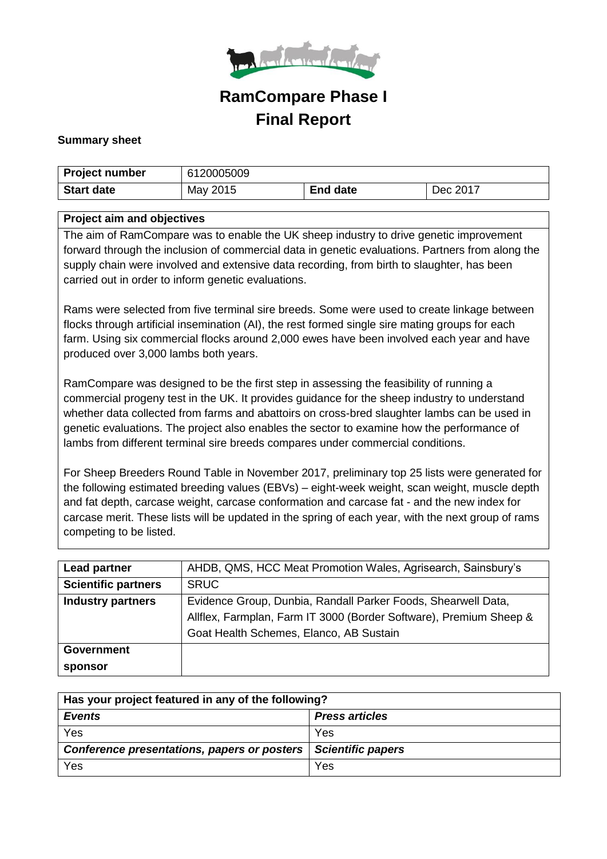

# **RamCompare Phase I Final Report**

#### **Summary sheet**

| Project number    | 6120005009 |                 |          |
|-------------------|------------|-----------------|----------|
| <b>Start date</b> | May 2015   | <b>End date</b> | Dec 2017 |

#### **Project aim and objectives**

The aim of RamCompare was to enable the UK sheep industry to drive genetic improvement forward through the inclusion of commercial data in genetic evaluations. Partners from along the supply chain were involved and extensive data recording, from birth to slaughter, has been carried out in order to inform genetic evaluations.

Rams were selected from five terminal sire breeds. Some were used to create linkage between flocks through artificial insemination (AI), the rest formed single sire mating groups for each farm. Using six commercial flocks around 2,000 ewes have been involved each year and have produced over 3,000 lambs both years.

RamCompare was designed to be the first step in assessing the feasibility of running a commercial progeny test in the UK. It provides guidance for the sheep industry to understand whether data collected from farms and abattoirs on cross-bred slaughter lambs can be used in genetic evaluations. The project also enables the sector to examine how the performance of lambs from different terminal sire breeds compares under commercial conditions.

For Sheep Breeders Round Table in November 2017, preliminary top 25 lists were generated for the following estimated breeding values (EBVs) – eight-week weight, scan weight, muscle depth and fat depth, carcase weight, carcase conformation and carcase fat - and the new index for carcase merit. These lists will be updated in the spring of each year, with the next group of rams competing to be listed.

| <b>Lead partner</b>        | AHDB, QMS, HCC Meat Promotion Wales, Agrisearch, Sainsbury's       |
|----------------------------|--------------------------------------------------------------------|
| <b>Scientific partners</b> | <b>SRUC</b>                                                        |
| <b>Industry partners</b>   | Evidence Group, Dunbia, Randall Parker Foods, Shearwell Data,      |
|                            | Allflex, Farmplan, Farm IT 3000 (Border Software), Premium Sheep & |
|                            | Goat Health Schemes, Elanco, AB Sustain                            |
| <b>Government</b>          |                                                                    |
| sponsor                    |                                                                    |

| Has your project featured in any of the following?              |                       |  |  |
|-----------------------------------------------------------------|-----------------------|--|--|
| <b>Events</b>                                                   | <b>Press articles</b> |  |  |
| Yes                                                             | Yes                   |  |  |
| Conference presentations, papers or posters   Scientific papers |                       |  |  |
| Yes                                                             | Yes                   |  |  |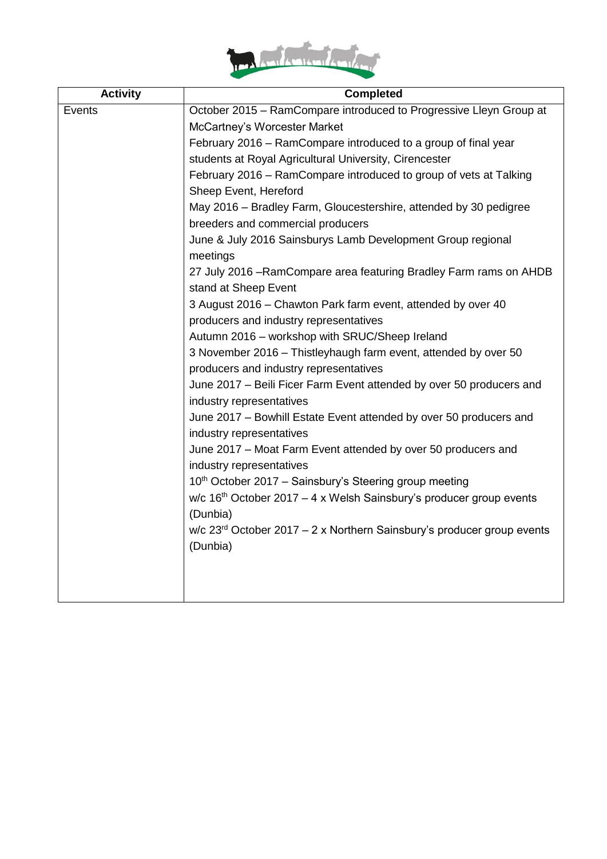

| <b>Activity</b> | <b>Completed</b>                                                                                 |
|-----------------|--------------------------------------------------------------------------------------------------|
| Events          | October 2015 - RamCompare introduced to Progressive Lleyn Group at                               |
|                 | McCartney's Worcester Market                                                                     |
|                 | February 2016 – RamCompare introduced to a group of final year                                   |
|                 | students at Royal Agricultural University, Cirencester                                           |
|                 | February 2016 - RamCompare introduced to group of vets at Talking<br>Sheep Event, Hereford       |
|                 | May 2016 – Bradley Farm, Gloucestershire, attended by 30 pedigree                                |
|                 | breeders and commercial producers                                                                |
|                 | June & July 2016 Sainsburys Lamb Development Group regional<br>meetings                          |
|                 | 27 July 2016 - Ram Compare area featuring Bradley Farm rams on AHDB<br>stand at Sheep Event      |
|                 | 3 August 2016 - Chawton Park farm event, attended by over 40                                     |
|                 | producers and industry representatives                                                           |
|                 | Autumn 2016 - workshop with SRUC/Sheep Ireland                                                   |
|                 | 3 November 2016 – Thistleyhaugh farm event, attended by over 50                                  |
|                 | producers and industry representatives                                                           |
|                 | June 2017 - Beili Ficer Farm Event attended by over 50 producers and<br>industry representatives |
|                 | June 2017 - Bowhill Estate Event attended by over 50 producers and<br>industry representatives   |
|                 | June 2017 - Moat Farm Event attended by over 50 producers and<br>industry representatives        |
|                 | 10th October 2017 - Sainsbury's Steering group meeting                                           |
|                 | w/c $16th$ October 2017 – 4 x Welsh Sainsbury's producer group events                            |
|                 | (Dunbia)                                                                                         |
|                 | $w/c$ 23 <sup>rd</sup> October 2017 – 2 x Northern Sainsbury's producer group events<br>(Dunbia) |
|                 |                                                                                                  |
|                 |                                                                                                  |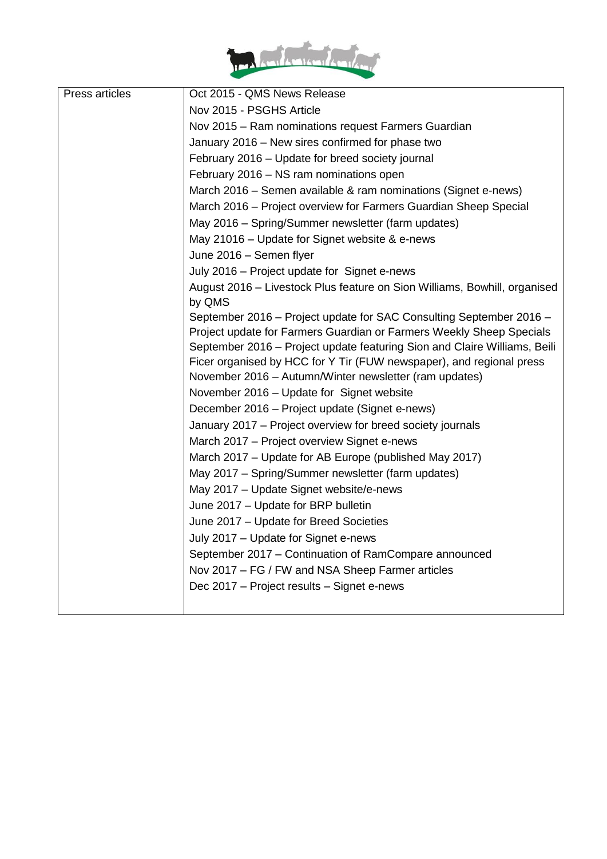

| Press articles | Oct 2015 - QMS News Release                                                                                                    |
|----------------|--------------------------------------------------------------------------------------------------------------------------------|
|                | Nov 2015 - PSGHS Article                                                                                                       |
|                | Nov 2015 - Ram nominations request Farmers Guardian                                                                            |
|                | January 2016 – New sires confirmed for phase two                                                                               |
|                | February 2016 - Update for breed society journal                                                                               |
|                | February 2016 - NS ram nominations open                                                                                        |
|                | March 2016 – Semen available & ram nominations (Signet e-news)                                                                 |
|                | March 2016 – Project overview for Farmers Guardian Sheep Special                                                               |
|                | May 2016 - Spring/Summer newsletter (farm updates)                                                                             |
|                | May 21016 - Update for Signet website & e-news                                                                                 |
|                | June 2016 - Semen flyer                                                                                                        |
|                | July 2016 - Project update for Signet e-news                                                                                   |
|                | August 2016 – Livestock Plus feature on Sion Williams, Bowhill, organised                                                      |
|                | by QMS                                                                                                                         |
|                | September 2016 - Project update for SAC Consulting September 2016 -                                                            |
|                | Project update for Farmers Guardian or Farmers Weekly Sheep Specials                                                           |
|                | September 2016 - Project update featuring Sion and Claire Williams, Beili                                                      |
|                | Ficer organised by HCC for Y Tir (FUW newspaper), and regional press<br>November 2016 - Autumn/Winter newsletter (ram updates) |
|                | November 2016 - Update for Signet website                                                                                      |
|                | December 2016 - Project update (Signet e-news)                                                                                 |
|                | January 2017 - Project overview for breed society journals                                                                     |
|                | March 2017 - Project overview Signet e-news                                                                                    |
|                |                                                                                                                                |
|                | March 2017 - Update for AB Europe (published May 2017)<br>May 2017 - Spring/Summer newsletter (farm updates)                   |
|                |                                                                                                                                |
|                | May 2017 - Update Signet website/e-news<br>June 2017 - Update for BRP bulletin                                                 |
|                | June 2017 - Update for Breed Societies                                                                                         |
|                |                                                                                                                                |
|                | July 2017 - Update for Signet e-news                                                                                           |
|                | September 2017 – Continuation of RamCompare announced                                                                          |
|                | Nov 2017 - FG / FW and NSA Sheep Farmer articles                                                                               |
|                | Dec 2017 – Project results – Signet e-news                                                                                     |
|                |                                                                                                                                |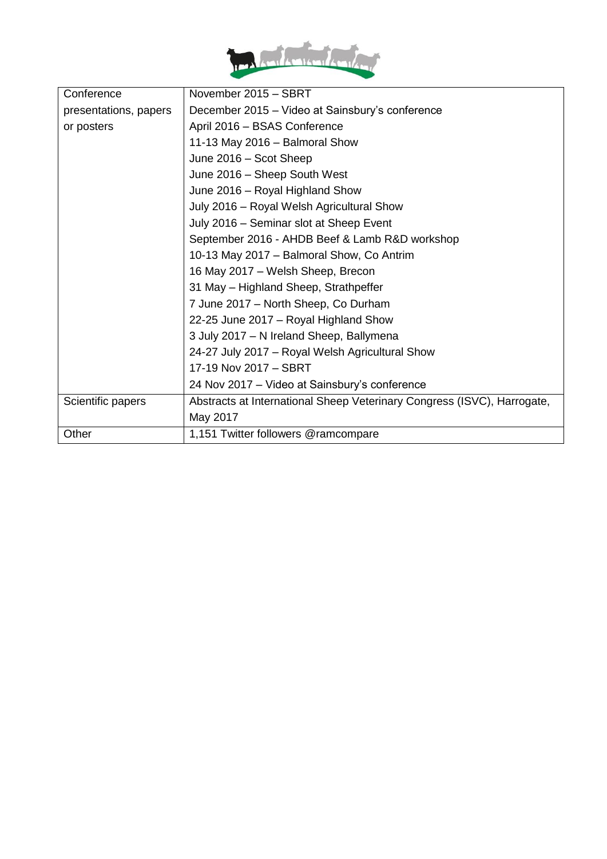

| Conference            | November 2015 - SBRT                                                    |
|-----------------------|-------------------------------------------------------------------------|
| presentations, papers | December 2015 – Video at Sainsbury's conference                         |
| or posters            | April 2016 - BSAS Conference                                            |
|                       | 11-13 May 2016 - Balmoral Show                                          |
|                       | June 2016 - Scot Sheep                                                  |
|                       | June 2016 - Sheep South West                                            |
|                       | June 2016 - Royal Highland Show                                         |
|                       | July 2016 - Royal Welsh Agricultural Show                               |
|                       | July 2016 - Seminar slot at Sheep Event                                 |
|                       | September 2016 - AHDB Beef & Lamb R&D workshop                          |
|                       | 10-13 May 2017 - Balmoral Show, Co Antrim                               |
|                       | 16 May 2017 – Welsh Sheep, Brecon                                       |
|                       | 31 May - Highland Sheep, Strathpeffer                                   |
|                       | 7 June 2017 - North Sheep, Co Durham                                    |
|                       | 22-25 June 2017 - Royal Highland Show                                   |
|                       | 3 July 2017 - N Ireland Sheep, Ballymena                                |
|                       | 24-27 July 2017 - Royal Welsh Agricultural Show                         |
|                       | 17-19 Nov 2017 - SBRT                                                   |
|                       | 24 Nov 2017 – Video at Sainsbury's conference                           |
| Scientific papers     | Abstracts at International Sheep Veterinary Congress (ISVC), Harrogate, |
|                       | May 2017                                                                |
| Other                 | 1,151 Twitter followers @ramcompare                                     |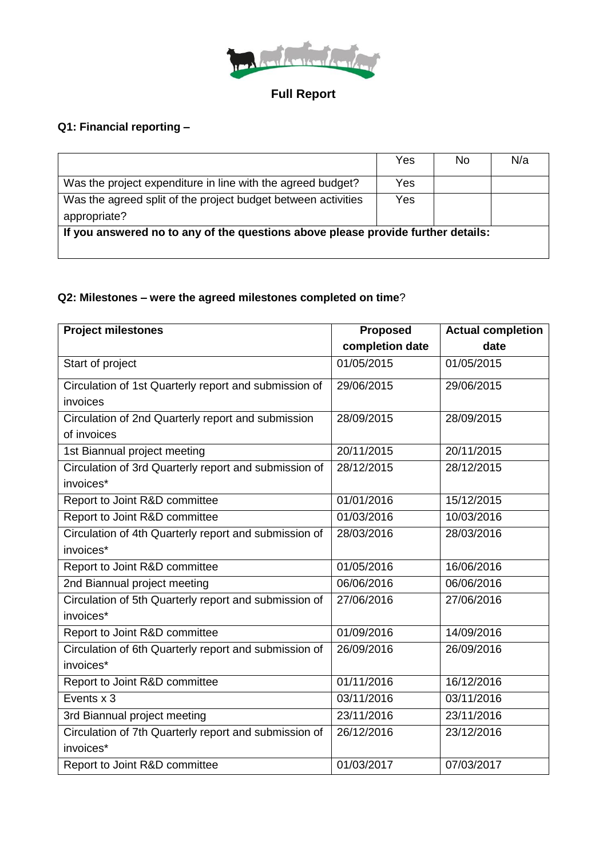

### **Full Report**

# **Q1: Financial reporting –**

|                                                                                  | Yes | No | N/a |
|----------------------------------------------------------------------------------|-----|----|-----|
| Was the project expenditure in line with the agreed budget?                      | Yes |    |     |
| Was the agreed split of the project budget between activities                    | Yes |    |     |
| appropriate?                                                                     |     |    |     |
| If you answered no to any of the questions above please provide further details: |     |    |     |
|                                                                                  |     |    |     |

#### **Q2: Milestones – were the agreed milestones completed on time**?

| <b>Project milestones</b>                             | <b>Proposed</b> | <b>Actual completion</b> |
|-------------------------------------------------------|-----------------|--------------------------|
|                                                       | completion date | date                     |
| Start of project                                      | 01/05/2015      | 01/05/2015               |
| Circulation of 1st Quarterly report and submission of | 29/06/2015      | 29/06/2015               |
| invoices                                              |                 |                          |
| Circulation of 2nd Quarterly report and submission    | 28/09/2015      | 28/09/2015               |
| of invoices                                           |                 |                          |
| 1st Biannual project meeting                          | 20/11/2015      | 20/11/2015               |
| Circulation of 3rd Quarterly report and submission of | 28/12/2015      | 28/12/2015               |
| invoices*                                             |                 |                          |
| Report to Joint R&D committee                         | 01/01/2016      | 15/12/2015               |
| Report to Joint R&D committee                         | 01/03/2016      | 10/03/2016               |
| Circulation of 4th Quarterly report and submission of | 28/03/2016      | 28/03/2016               |
| invoices*                                             |                 |                          |
| Report to Joint R&D committee                         | 01/05/2016      | 16/06/2016               |
| 2nd Biannual project meeting                          | 06/06/2016      | 06/06/2016               |
| Circulation of 5th Quarterly report and submission of | 27/06/2016      | 27/06/2016               |
| invoices*                                             |                 |                          |
| Report to Joint R&D committee                         | 01/09/2016      | 14/09/2016               |
| Circulation of 6th Quarterly report and submission of | 26/09/2016      | 26/09/2016               |
| invoices*                                             |                 |                          |
| Report to Joint R&D committee                         | 01/11/2016      | 16/12/2016               |
| Events x 3                                            | 03/11/2016      | 03/11/2016               |
| 3rd Biannual project meeting                          | 23/11/2016      | 23/11/2016               |
| Circulation of 7th Quarterly report and submission of | 26/12/2016      | 23/12/2016               |
| invoices*                                             |                 |                          |
| Report to Joint R&D committee                         | 01/03/2017      | 07/03/2017               |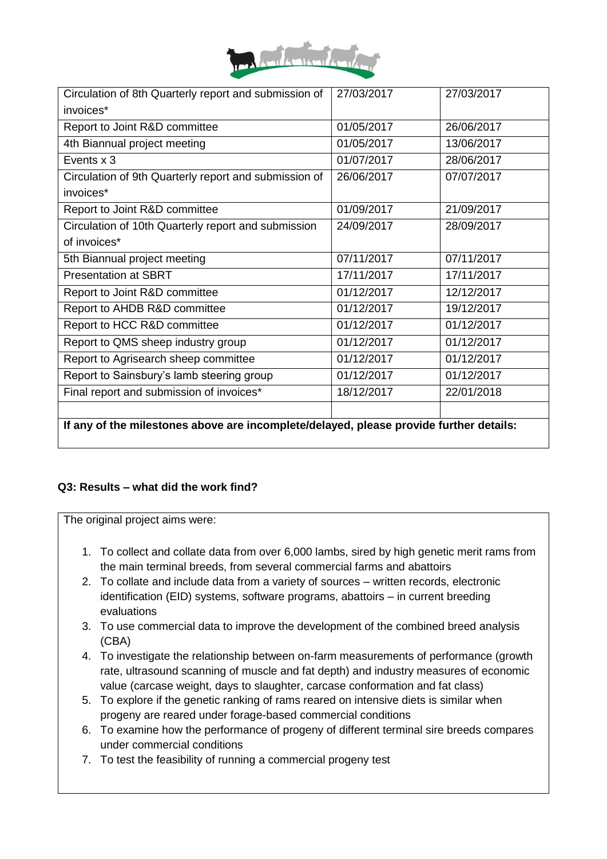

| Circulation of 8th Quarterly report and submission of                                  | 27/03/2017 | 27/03/2017 |  |  |
|----------------------------------------------------------------------------------------|------------|------------|--|--|
| invoices*                                                                              |            |            |  |  |
| Report to Joint R&D committee                                                          | 01/05/2017 | 26/06/2017 |  |  |
| 4th Biannual project meeting                                                           | 01/05/2017 | 13/06/2017 |  |  |
| Events x 3                                                                             | 01/07/2017 | 28/06/2017 |  |  |
| Circulation of 9th Quarterly report and submission of                                  | 26/06/2017 | 07/07/2017 |  |  |
| invoices*                                                                              |            |            |  |  |
| Report to Joint R&D committee                                                          | 01/09/2017 | 21/09/2017 |  |  |
| Circulation of 10th Quarterly report and submission                                    | 24/09/2017 | 28/09/2017 |  |  |
| of invoices*                                                                           |            |            |  |  |
| 5th Biannual project meeting                                                           | 07/11/2017 | 07/11/2017 |  |  |
| <b>Presentation at SBRT</b>                                                            | 17/11/2017 | 17/11/2017 |  |  |
| Report to Joint R&D committee                                                          | 01/12/2017 | 12/12/2017 |  |  |
| Report to AHDB R&D committee                                                           | 01/12/2017 | 19/12/2017 |  |  |
| Report to HCC R&D committee                                                            | 01/12/2017 | 01/12/2017 |  |  |
| Report to QMS sheep industry group                                                     | 01/12/2017 | 01/12/2017 |  |  |
| Report to Agrisearch sheep committee                                                   | 01/12/2017 | 01/12/2017 |  |  |
| Report to Sainsbury's lamb steering group                                              | 01/12/2017 | 01/12/2017 |  |  |
| Final report and submission of invoices*                                               | 18/12/2017 | 22/01/2018 |  |  |
|                                                                                        |            |            |  |  |
| If any of the milestones above are incomplete/delayed, please provide further details: |            |            |  |  |

#### **Q3: Results – what did the work find?**

The original project aims were:

- 1. To collect and collate data from over 6,000 lambs, sired by high genetic merit rams from the main terminal breeds, from several commercial farms and abattoirs
- 2. To collate and include data from a variety of sources written records, electronic identification (EID) systems, software programs, abattoirs – in current breeding evaluations
- 3. To use commercial data to improve the development of the combined breed analysis (CBA)
- 4. To investigate the relationship between on-farm measurements of performance (growth rate, ultrasound scanning of muscle and fat depth) and industry measures of economic value (carcase weight, days to slaughter, carcase conformation and fat class)
- 5. To explore if the genetic ranking of rams reared on intensive diets is similar when progeny are reared under forage-based commercial conditions
- 6. To examine how the performance of progeny of different terminal sire breeds compares under commercial conditions
- 7. To test the feasibility of running a commercial progeny test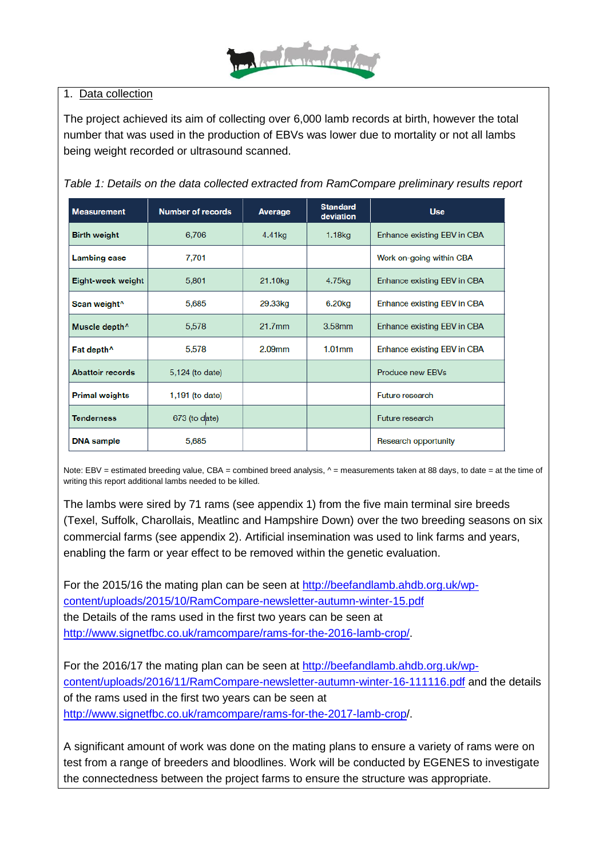

#### 1. Data collection

The project achieved its aim of collecting over 6,000 lamb records at birth, however the total number that was used in the production of EBVs was lower due to mortality or not all lambs being weight recorded or ultrasound scanned.

*Table 1: Details on the data collected extracted from RamCompare preliminary results report* 

| <b>Measurement</b>        | <b>Number of records</b> | Average             | <b>Standard</b><br>deviation | <b>Use</b>                  |
|---------------------------|--------------------------|---------------------|------------------------------|-----------------------------|
| <b>Birth weight</b>       | 6,706                    | 4.41kg              | 1.18 <sub>kg</sub>           | Enhance existing EBV in CBA |
| <b>Lambing ease</b>       | 7,701                    |                     |                              | Work on-going within CBA    |
| Eight-week weight         | 5,801                    | 21.10 <sub>kg</sub> | 4.75kg                       | Enhance existing EBV in CBA |
| Scan weight <sup>^</sup>  | 5,685                    | 29.33kg             | 6.20 <sub>kg</sub>           | Enhance existing EBV in CBA |
| Muscle depth <sup>^</sup> | 5,578                    | $21.7$ mm           | $3.58$ mm                    | Enhance existing EBV in CBA |
| Fat depth <sup>^</sup>    | 5,578                    | $2.09$ mm           | $1.01$ <sub>mm</sub>         | Enhance existing EBV in CBA |
| <b>Abattoir records</b>   | 5,124 (to date)          |                     |                              | Produce new EBVs            |
| <b>Primal weights</b>     | 1,191 (to date)          |                     |                              | Future research             |
| <b>Tenderness</b>         | 673 (to date)            |                     |                              | Future research             |
| <b>DNA</b> sample         | 5,685                    |                     |                              | Research opportunity        |

Note: EBV = estimated breeding value, CBA = combined breed analysis,  $\wedge$  = measurements taken at 88 days, to date = at the time of writing this report additional lambs needed to be killed.

The lambs were sired by 71 rams (see appendix 1) from the five main terminal sire breeds (Texel, Suffolk, Charollais, Meatlinc and Hampshire Down) over the two breeding seasons on six commercial farms (see appendix 2). Artificial insemination was used to link farms and years, enabling the farm or year effect to be removed within the genetic evaluation.

For the 2015/16 the mating plan can be seen at [http://beefandlamb.ahdb.org.uk/wp](http://beefandlamb.ahdb.org.uk/wp-content/uploads/2015/10/RamCompare-newsletter-autumn-winter-15.pdf)[content/uploads/2015/10/RamCompare-newsletter-autumn-winter-15.pdf](http://beefandlamb.ahdb.org.uk/wp-content/uploads/2015/10/RamCompare-newsletter-autumn-winter-15.pdf) the Details of the rams used in the first two years can be seen at [http://www.signetfbc.co.uk/ramcompare/rams-for-the-2016-lamb-crop/.](http://www.signetfbc.co.uk/ramcompare/rams-for-the-2016-lamb-crop/)

For the 2016/17 the mating plan can be seen at [http://beefandlamb.ahdb.org.uk/wp](http://beefandlamb.ahdb.org.uk/wp-content/uploads/2016/11/RamCompare-newsletter-autumn-winter-16-111116.pdf)[content/uploads/2016/11/RamCompare-newsletter-autumn-winter-16-111116.pdf](http://beefandlamb.ahdb.org.uk/wp-content/uploads/2016/11/RamCompare-newsletter-autumn-winter-16-111116.pdf) and the details of the rams used in the first two years can be seen at <http://www.signetfbc.co.uk/ramcompare/rams-for-the-2017-lamb-crop/>.

A significant amount of work was done on the mating plans to ensure a variety of rams were on test from a range of breeders and bloodlines. Work will be conducted by EGENES to investigate the connectedness between the project farms to ensure the structure was appropriate.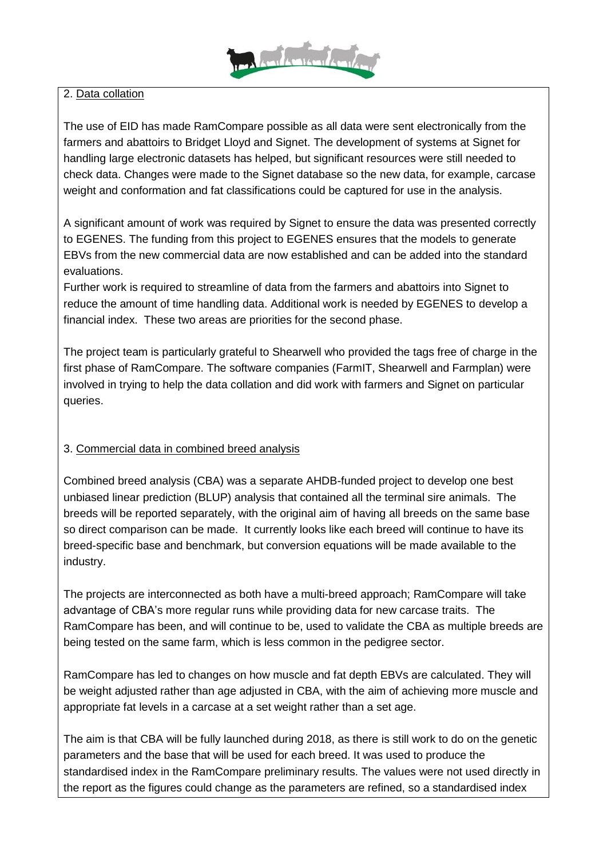

#### 2. Data collation

The use of EID has made RamCompare possible as all data were sent electronically from the farmers and abattoirs to Bridget Lloyd and Signet. The development of systems at Signet for handling large electronic datasets has helped, but significant resources were still needed to check data. Changes were made to the Signet database so the new data, for example, carcase weight and conformation and fat classifications could be captured for use in the analysis.

A significant amount of work was required by Signet to ensure the data was presented correctly to EGENES. The funding from this project to EGENES ensures that the models to generate EBVs from the new commercial data are now established and can be added into the standard evaluations.

Further work is required to streamline of data from the farmers and abattoirs into Signet to reduce the amount of time handling data. Additional work is needed by EGENES to develop a financial index. These two areas are priorities for the second phase.

The project team is particularly grateful to Shearwell who provided the tags free of charge in the first phase of RamCompare. The software companies (FarmIT, Shearwell and Farmplan) were involved in trying to help the data collation and did work with farmers and Signet on particular queries.

#### 3. Commercial data in combined breed analysis

Combined breed analysis (CBA) was a separate AHDB-funded project to develop one best unbiased linear prediction (BLUP) analysis that contained all the terminal sire animals. The breeds will be reported separately, with the original aim of having all breeds on the same base so direct comparison can be made. It currently looks like each breed will continue to have its breed-specific base and benchmark, but conversion equations will be made available to the industry.

The projects are interconnected as both have a multi-breed approach; RamCompare will take advantage of CBA's more regular runs while providing data for new carcase traits. The RamCompare has been, and will continue to be, used to validate the CBA as multiple breeds are being tested on the same farm, which is less common in the pedigree sector.

RamCompare has led to changes on how muscle and fat depth EBVs are calculated. They will be weight adjusted rather than age adjusted in CBA, with the aim of achieving more muscle and appropriate fat levels in a carcase at a set weight rather than a set age.

The aim is that CBA will be fully launched during 2018, as there is still work to do on the genetic parameters and the base that will be used for each breed. It was used to produce the standardised index in the RamCompare preliminary results. The values were not used directly in the report as the figures could change as the parameters are refined, so a standardised index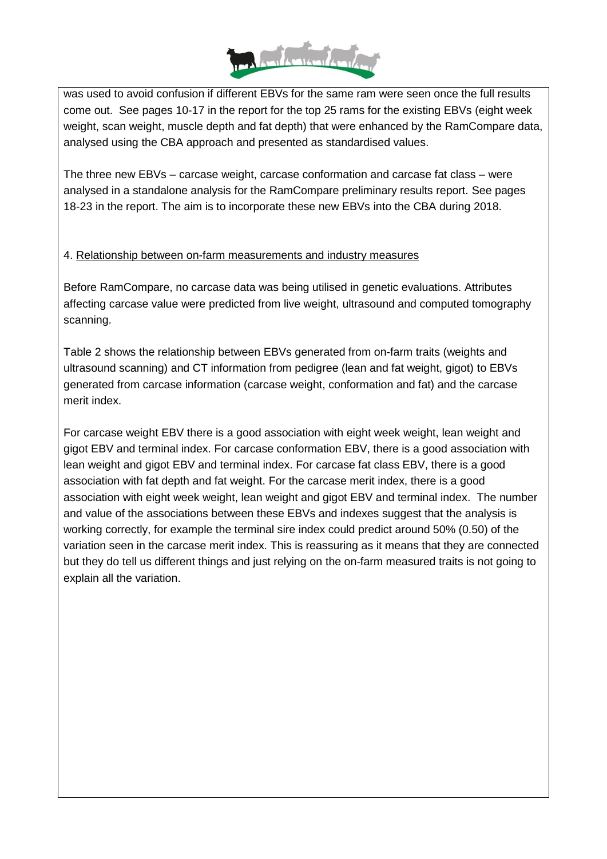

was used to avoid confusion if different EBVs for the same ram were seen once the full results come out. See pages 10-17 in the report for the top 25 rams for the existing EBVs (eight week weight, scan weight, muscle depth and fat depth) that were enhanced by the RamCompare data, analysed using the CBA approach and presented as standardised values.

The three new EBVs – carcase weight, carcase conformation and carcase fat class – were analysed in a standalone analysis for the RamCompare preliminary results report. See pages 18-23 in the report. The aim is to incorporate these new EBVs into the CBA during 2018.

#### 4. Relationship between on-farm measurements and industry measures

Before RamCompare, no carcase data was being utilised in genetic evaluations. Attributes affecting carcase value were predicted from live weight, ultrasound and computed tomography scanning.

Table 2 shows the relationship between EBVs generated from on-farm traits (weights and ultrasound scanning) and CT information from pedigree (lean and fat weight, gigot) to EBVs generated from carcase information (carcase weight, conformation and fat) and the carcase merit index.

For carcase weight EBV there is a good association with eight week weight, lean weight and gigot EBV and terminal index. For carcase conformation EBV, there is a good association with lean weight and gigot EBV and terminal index. For carcase fat class EBV, there is a good association with fat depth and fat weight. For the carcase merit index, there is a good association with eight week weight, lean weight and gigot EBV and terminal index. The number and value of the associations between these EBVs and indexes suggest that the analysis is working correctly, for example the terminal sire index could predict around 50% (0.50) of the variation seen in the carcase merit index. This is reassuring as it means that they are connected but they do tell us different things and just relying on the on-farm measured traits is not going to explain all the variation.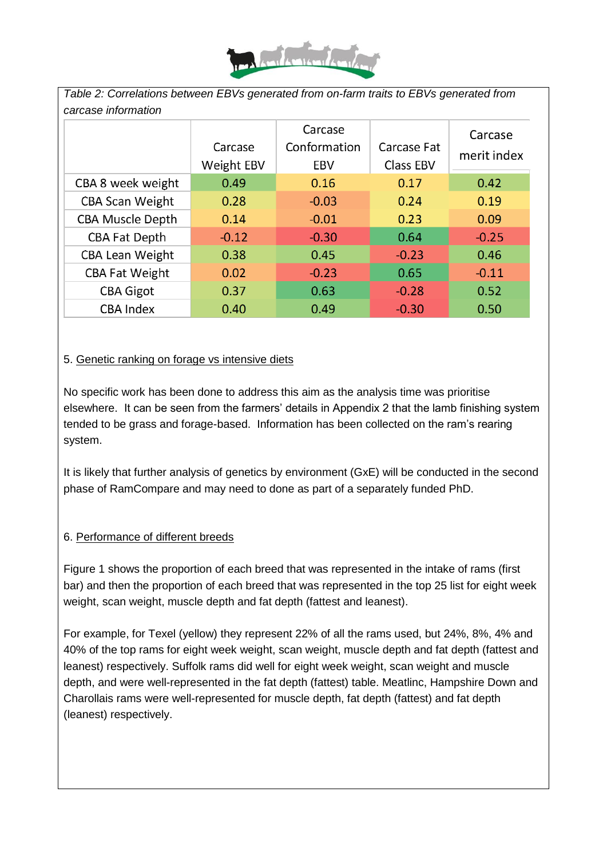

*Table 2: Correlations between EBVs generated from on-farm traits to EBVs generated from carcase information*

|                         | Carcase<br>Weight EBV | Carcase<br>Conformation<br>EBV | Carcase Fat<br>Class EBV | Carcase<br>merit index |
|-------------------------|-----------------------|--------------------------------|--------------------------|------------------------|
| CBA 8 week weight       | 0.49                  | 0.16                           | 0.17                     | 0.42                   |
| <b>CBA Scan Weight</b>  | 0.28                  | $-0.03$                        | 0.24                     | 0.19                   |
| <b>CBA Muscle Depth</b> | 0.14                  | $-0.01$                        | 0.23                     | 0.09                   |
| <b>CBA Fat Depth</b>    | $-0.12$               | $-0.30$                        | 0.64                     | $-0.25$                |
| <b>CBA Lean Weight</b>  | 0.38                  | 0.45                           | $-0.23$                  | 0.46                   |
| <b>CBA Fat Weight</b>   | 0.02                  | $-0.23$                        | 0.65                     | $-0.11$                |
| <b>CBA Gigot</b>        | 0.37                  | 0.63                           | $-0.28$                  | 0.52                   |
| <b>CBA Index</b>        | 0.40                  | 0.49                           | $-0.30$                  | 0.50                   |

#### 5. Genetic ranking on forage vs intensive diets

No specific work has been done to address this aim as the analysis time was prioritise elsewhere. It can be seen from the farmers' details in Appendix 2 that the lamb finishing system tended to be grass and forage-based. Information has been collected on the ram's rearing system.

It is likely that further analysis of genetics by environment (GxE) will be conducted in the second phase of RamCompare and may need to done as part of a separately funded PhD.

#### 6. Performance of different breeds

Figure 1 shows the proportion of each breed that was represented in the intake of rams (first bar) and then the proportion of each breed that was represented in the top 25 list for eight week weight, scan weight, muscle depth and fat depth (fattest and leanest).

For example, for Texel (yellow) they represent 22% of all the rams used, but 24%, 8%, 4% and 40% of the top rams for eight week weight, scan weight, muscle depth and fat depth (fattest and leanest) respectively. Suffolk rams did well for eight week weight, scan weight and muscle depth, and were well-represented in the fat depth (fattest) table. Meatlinc, Hampshire Down and Charollais rams were well-represented for muscle depth, fat depth (fattest) and fat depth (leanest) respectively.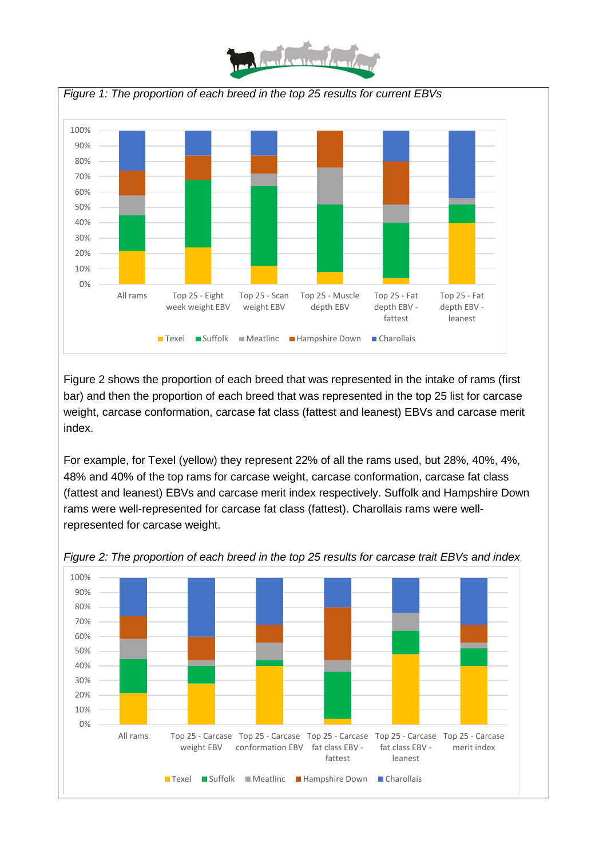



Figure 2 shows the proportion of each breed that was represented in the intake of rams (first bar) and then the proportion of each breed that was represented in the top 25 list for carcase weight, carcase conformation, carcase fat class (fattest and leanest) EBVs and carcase merit index.

For example, for Texel (yellow) they represent 22% of all the rams used, but 28%, 40%, 4%, 48% and 40% of the top rams for carcase weight, carcase conformation, carcase fat class (fattest and leanest) EBVs and carcase merit index respectively. Suffolk and Hampshire Down rams were well-represented for carcase fat class (fattest). Charollais rams were wellrepresented for carcase weight.



*Figure 2: The proportion of each breed in the top 25 results for carcase trait EBVs and index*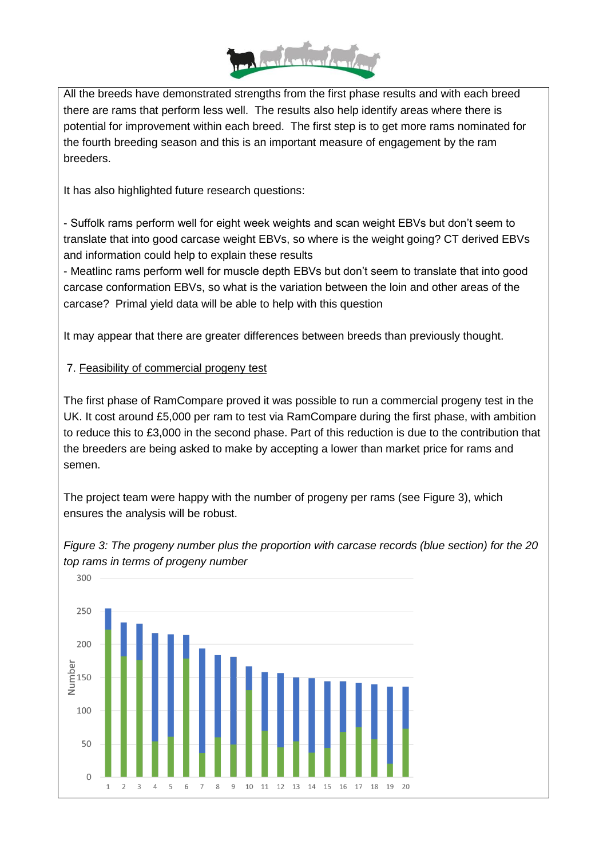

All the breeds have demonstrated strengths from the first phase results and with each breed there are rams that perform less well. The results also help identify areas where there is potential for improvement within each breed. The first step is to get more rams nominated for the fourth breeding season and this is an important measure of engagement by the ram breeders.

It has also highlighted future research questions:

- Suffolk rams perform well for eight week weights and scan weight EBVs but don't seem to translate that into good carcase weight EBVs, so where is the weight going? CT derived EBVs and information could help to explain these results

- Meatlinc rams perform well for muscle depth EBVs but don't seem to translate that into good carcase conformation EBVs, so what is the variation between the loin and other areas of the carcase? Primal yield data will be able to help with this question

It may appear that there are greater differences between breeds than previously thought.

#### 7. Feasibility of commercial progeny test

The first phase of RamCompare proved it was possible to run a commercial progeny test in the UK. It cost around £5,000 per ram to test via RamCompare during the first phase, with ambition to reduce this to £3,000 in the second phase. Part of this reduction is due to the contribution that the breeders are being asked to make by accepting a lower than market price for rams and semen.

The project team were happy with the number of progeny per rams (see Figure 3), which ensures the analysis will be robust.



*Figure 3: The progeny number plus the proportion with carcase records (blue section) for the 20 top rams in terms of progeny number*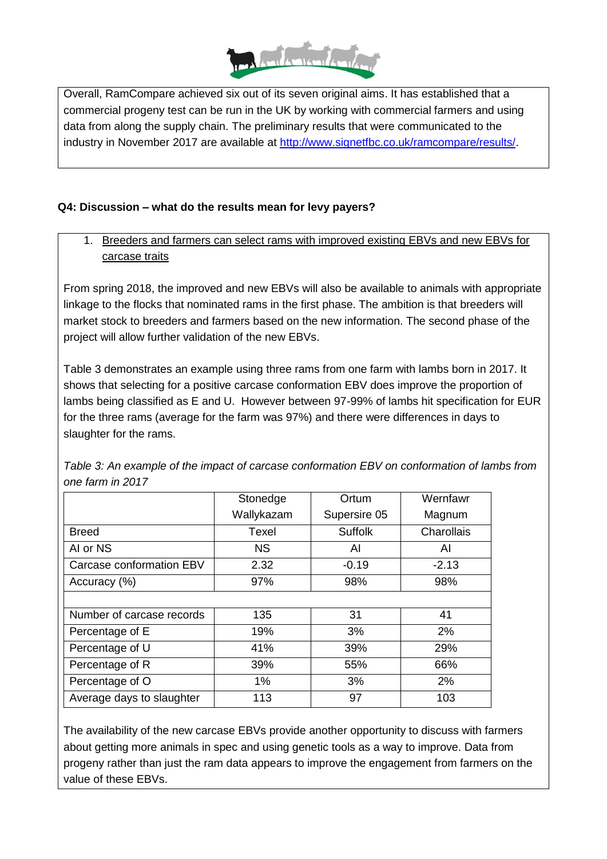

Overall, RamCompare achieved six out of its seven original aims. It has established that a commercial progeny test can be run in the UK by working with commercial farmers and using data from along the supply chain. The preliminary results that were communicated to the industry in November 2017 are available at [http://www.signetfbc.co.uk/ramcompare/results/.](http://www.signetfbc.co.uk/ramcompare/results/)

#### **Q4: Discussion – what do the results mean for levy payers?**

1. Breeders and farmers can select rams with improved existing EBVs and new EBVs for carcase traits

From spring 2018, the improved and new EBVs will also be available to animals with appropriate linkage to the flocks that nominated rams in the first phase. The ambition is that breeders will market stock to breeders and farmers based on the new information. The second phase of the project will allow further validation of the new EBVs.

Table 3 demonstrates an example using three rams from one farm with lambs born in 2017. It shows that selecting for a positive carcase conformation EBV does improve the proportion of lambs being classified as E and U. However between 97-99% of lambs hit specification for EUR for the three rams (average for the farm was 97%) and there were differences in days to slaughter for the rams.

|                           | Stonedge   | Ortum          | Wernfawr   |
|---------------------------|------------|----------------|------------|
|                           | Wallykazam | Supersire 05   | Magnum     |
| <b>Breed</b>              | Texel      | <b>Suffolk</b> | Charollais |
| AI or NS                  | <b>NS</b>  | AI             | AI         |
| Carcase conformation EBV  | 2.32       | $-0.19$        | $-2.13$    |
| Accuracy (%)              | 97%        | 98%            | 98%        |
|                           |            |                |            |
| Number of carcase records | 135        | 31             | 41         |
| Percentage of E           | 19%        | 3%             | 2%         |
| Percentage of U           | 41%        | 39%            | 29%        |
| Percentage of R           | 39%        | 55%            | 66%        |
| Percentage of O           | 1%         | 3%             | 2%         |
| Average days to slaughter | 113        | 97             | 103        |

*Table 3: An example of the impact of carcase conformation EBV on conformation of lambs from one farm in 2017*

The availability of the new carcase EBVs provide another opportunity to discuss with farmers about getting more animals in spec and using genetic tools as a way to improve. Data from progeny rather than just the ram data appears to improve the engagement from farmers on the value of these EBVs.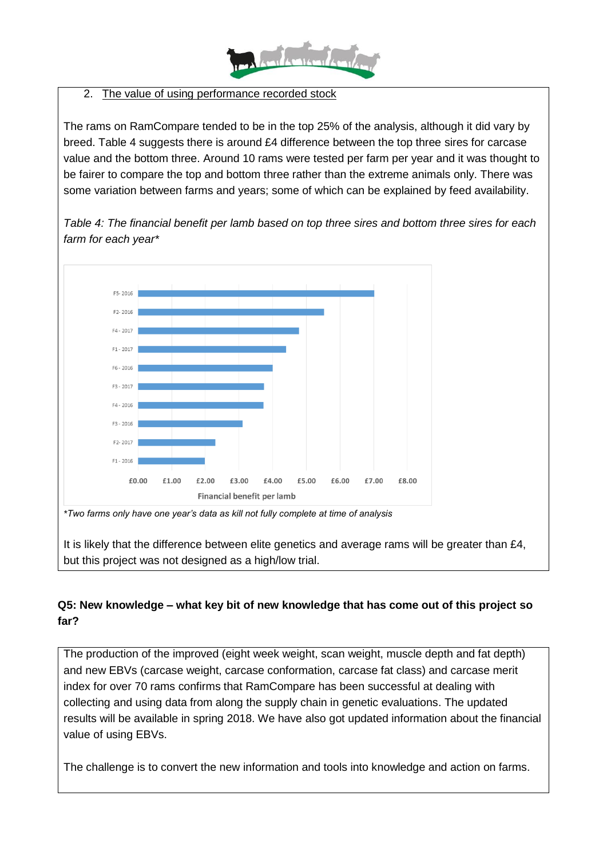

#### 2. The value of using performance recorded stock

The rams on RamCompare tended to be in the top 25% of the analysis, although it did vary by breed. Table 4 suggests there is around £4 difference between the top three sires for carcase value and the bottom three. Around 10 rams were tested per farm per year and it was thought to be fairer to compare the top and bottom three rather than the extreme animals only. There was some variation between farms and years; some of which can be explained by feed availability.



*Table 4: The financial benefit per lamb based on top three sires and bottom three sires for each farm for each year\**

*\*Two farms only have one year's data as kill not fully complete at time of analysis*

It is likely that the difference between elite genetics and average rams will be greater than £4, but this project was not designed as a high/low trial.

#### **Q5: New knowledge – what key bit of new knowledge that has come out of this project so far?**

The production of the improved (eight week weight, scan weight, muscle depth and fat depth) and new EBVs (carcase weight, carcase conformation, carcase fat class) and carcase merit index for over 70 rams confirms that RamCompare has been successful at dealing with collecting and using data from along the supply chain in genetic evaluations. The updated results will be available in spring 2018. We have also got updated information about the financial value of using EBVs.

The challenge is to convert the new information and tools into knowledge and action on farms.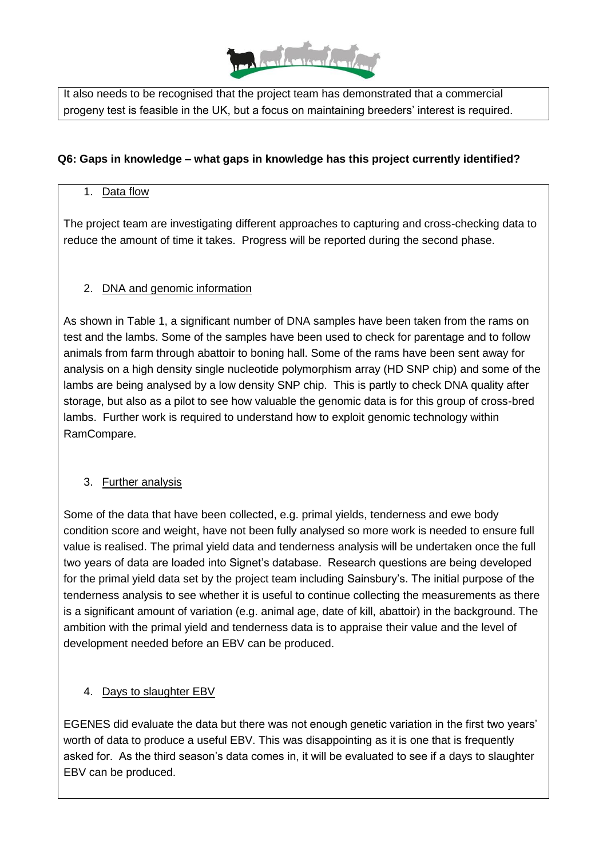

It also needs to be recognised that the project team has demonstrated that a commercial progeny test is feasible in the UK, but a focus on maintaining breeders' interest is required.

#### **Q6: Gaps in knowledge – what gaps in knowledge has this project currently identified?**

#### 1. Data flow

The project team are investigating different approaches to capturing and cross-checking data to reduce the amount of time it takes. Progress will be reported during the second phase.

#### 2. DNA and genomic information

As shown in Table 1, a significant number of DNA samples have been taken from the rams on test and the lambs. Some of the samples have been used to check for parentage and to follow animals from farm through abattoir to boning hall. Some of the rams have been sent away for analysis on a high density single nucleotide polymorphism array (HD SNP chip) and some of the lambs are being analysed by a low density SNP chip. This is partly to check DNA quality after storage, but also as a pilot to see how valuable the genomic data is for this group of cross-bred lambs. Further work is required to understand how to exploit genomic technology within RamCompare.

#### 3. Further analysis

Some of the data that have been collected, e.g. primal yields, tenderness and ewe body condition score and weight, have not been fully analysed so more work is needed to ensure full value is realised. The primal yield data and tenderness analysis will be undertaken once the full two years of data are loaded into Signet's database. Research questions are being developed for the primal yield data set by the project team including Sainsbury's. The initial purpose of the tenderness analysis to see whether it is useful to continue collecting the measurements as there is a significant amount of variation (e.g. animal age, date of kill, abattoir) in the background. The ambition with the primal yield and tenderness data is to appraise their value and the level of development needed before an EBV can be produced.

#### 4. Days to slaughter EBV

EGENES did evaluate the data but there was not enough genetic variation in the first two years' worth of data to produce a useful EBV. This was disappointing as it is one that is frequently asked for. As the third season's data comes in, it will be evaluated to see if a days to slaughter EBV can be produced.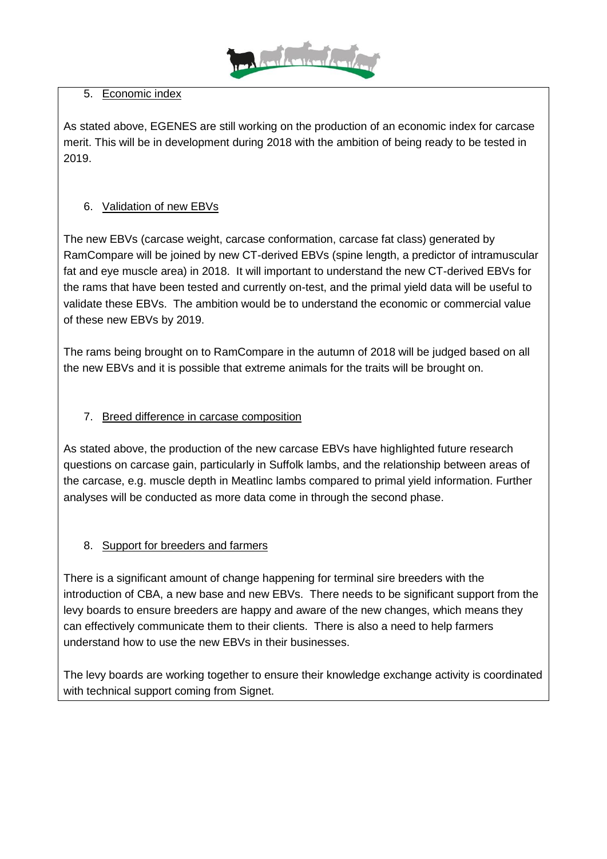

#### 5. Economic index

As stated above, EGENES are still working on the production of an economic index for carcase merit. This will be in development during 2018 with the ambition of being ready to be tested in 2019.

### 6. Validation of new EBVs

The new EBVs (carcase weight, carcase conformation, carcase fat class) generated by RamCompare will be joined by new CT-derived EBVs (spine length, a predictor of intramuscular fat and eye muscle area) in 2018. It will important to understand the new CT-derived EBVs for the rams that have been tested and currently on-test, and the primal yield data will be useful to validate these EBVs. The ambition would be to understand the economic or commercial value of these new EBVs by 2019.

The rams being brought on to RamCompare in the autumn of 2018 will be judged based on all the new EBVs and it is possible that extreme animals for the traits will be brought on.

#### 7. Breed difference in carcase composition

As stated above, the production of the new carcase EBVs have highlighted future research questions on carcase gain, particularly in Suffolk lambs, and the relationship between areas of the carcase, e.g. muscle depth in Meatlinc lambs compared to primal yield information. Further analyses will be conducted as more data come in through the second phase.

#### 8. Support for breeders and farmers

There is a significant amount of change happening for terminal sire breeders with the introduction of CBA, a new base and new EBVs. There needs to be significant support from the levy boards to ensure breeders are happy and aware of the new changes, which means they can effectively communicate them to their clients. There is also a need to help farmers understand how to use the new EBVs in their businesses.

The levy boards are working together to ensure their knowledge exchange activity is coordinated with technical support coming from Signet.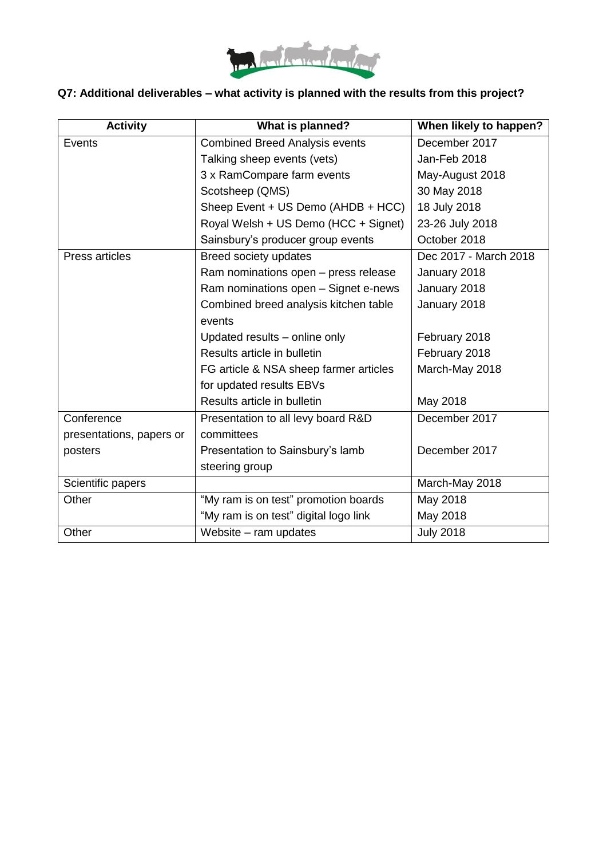

### **Q7: Additional deliverables – what activity is planned with the results from this project?**

| <b>Activity</b>          | What is planned?                       | When likely to happen? |  |
|--------------------------|----------------------------------------|------------------------|--|
| Events                   | <b>Combined Breed Analysis events</b>  | December 2017          |  |
|                          | Talking sheep events (vets)            | Jan-Feb 2018           |  |
|                          | 3 x RamCompare farm events             | May-August 2018        |  |
|                          | Scotsheep (QMS)                        | 30 May 2018            |  |
|                          | Sheep Event + US Demo (AHDB + HCC)     | 18 July 2018           |  |
|                          | Royal Welsh + US Demo (HCC + Signet)   | 23-26 July 2018        |  |
|                          | Sainsbury's producer group events      | October 2018           |  |
| Press articles           | Breed society updates                  | Dec 2017 - March 2018  |  |
|                          | Ram nominations open - press release   | January 2018           |  |
|                          | Ram nominations open - Signet e-news   | January 2018           |  |
|                          | Combined breed analysis kitchen table  | January 2018           |  |
|                          | events                                 |                        |  |
|                          | Updated results - online only          | February 2018          |  |
|                          | Results article in bulletin            | February 2018          |  |
|                          | FG article & NSA sheep farmer articles | March-May 2018         |  |
|                          | for updated results EBVs               |                        |  |
|                          | Results article in bulletin            | May 2018               |  |
| Conference               | Presentation to all levy board R&D     | December 2017          |  |
| presentations, papers or | committees                             |                        |  |
| posters                  | Presentation to Sainsbury's lamb       | December 2017          |  |
|                          | steering group                         |                        |  |
| Scientific papers        |                                        | March-May 2018         |  |
| Other                    | "My ram is on test" promotion boards   | May 2018               |  |
|                          | "My ram is on test" digital logo link  | May 2018               |  |
| Other                    | Website – ram updates                  | <b>July 2018</b>       |  |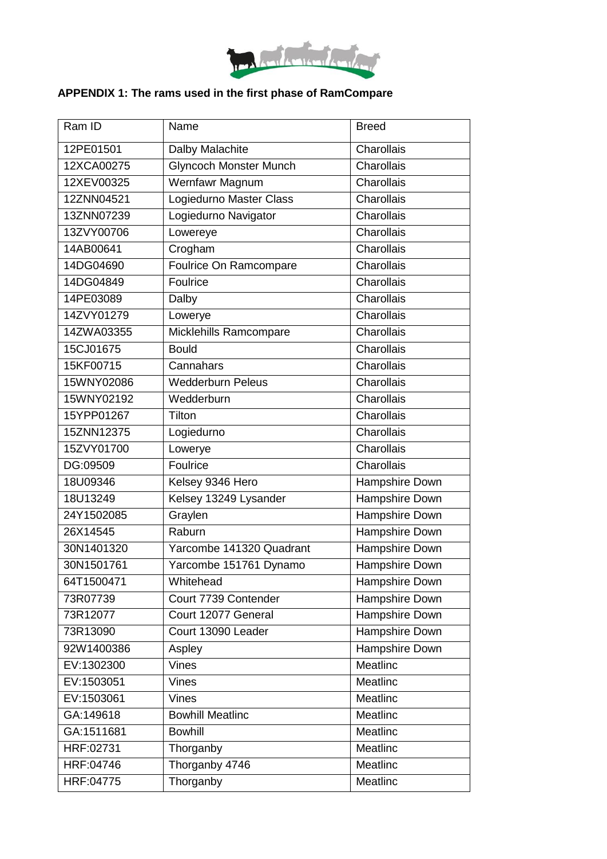

# **APPENDIX 1: The rams used in the first phase of RamCompare**

| Ram ID     | Name                          | <b>Breed</b>   |  |
|------------|-------------------------------|----------------|--|
| 12PE01501  | Dalby Malachite               | Charollais     |  |
| 12XCA00275 | <b>Glyncoch Monster Munch</b> | Charollais     |  |
| 12XEV00325 | <b>Wernfawr Magnum</b>        | Charollais     |  |
| 12ZNN04521 | Logiedurno Master Class       | Charollais     |  |
| 13ZNN07239 | Logiedurno Navigator          | Charollais     |  |
| 13ZVY00706 | Lowereye                      | Charollais     |  |
| 14AB00641  | Crogham                       | Charollais     |  |
| 14DG04690  | Foulrice On Ramcompare        | Charollais     |  |
| 14DG04849  | Foulrice                      | Charollais     |  |
| 14PE03089  | Dalby                         | Charollais     |  |
| 14ZVY01279 | Lowerye                       | Charollais     |  |
| 14ZWA03355 | Micklehills Ramcompare        | Charollais     |  |
| 15CJ01675  | <b>Bould</b>                  | Charollais     |  |
| 15KF00715  | Cannahars                     | Charollais     |  |
| 15WNY02086 | <b>Wedderburn Peleus</b>      | Charollais     |  |
| 15WNY02192 | Wedderburn                    | Charollais     |  |
| 15YPP01267 | Tilton                        | Charollais     |  |
| 15ZNN12375 | Logiedurno                    | Charollais     |  |
| 15ZVY01700 | Lowerye                       | Charollais     |  |
| DG:09509   | Foulrice                      | Charollais     |  |
| 18U09346   | Kelsey 9346 Hero              | Hampshire Down |  |
| 18U13249   | Kelsey 13249 Lysander         | Hampshire Down |  |
| 24Y1502085 | Graylen                       | Hampshire Down |  |
| 26X14545   | Raburn                        | Hampshire Down |  |
| 30N1401320 | Yarcombe 141320 Quadrant      | Hampshire Down |  |
| 30N1501761 | Yarcombe 151761 Dynamo        | Hampshire Down |  |
| 64T1500471 | Whitehead                     | Hampshire Down |  |
| 73R07739   | Court 7739 Contender          | Hampshire Down |  |
| 73R12077   | Court 12077 General           | Hampshire Down |  |
| 73R13090   | Court 13090 Leader            | Hampshire Down |  |
| 92W1400386 | Aspley                        | Hampshire Down |  |
| EV:1302300 | <b>Vines</b>                  | Meatlinc       |  |
| EV:1503051 | <b>Vines</b>                  | Meatlinc       |  |
| EV:1503061 | <b>Vines</b>                  | Meatlinc       |  |
| GA:149618  | <b>Bowhill Meatlinc</b>       | Meatlinc       |  |
| GA:1511681 | <b>Bowhill</b>                | Meatlinc       |  |
| HRF:02731  | Thorganby                     | Meatlinc       |  |
| HRF:04746  | Thorganby 4746                | Meatlinc       |  |
| HRF:04775  | Thorganby                     | Meatlinc       |  |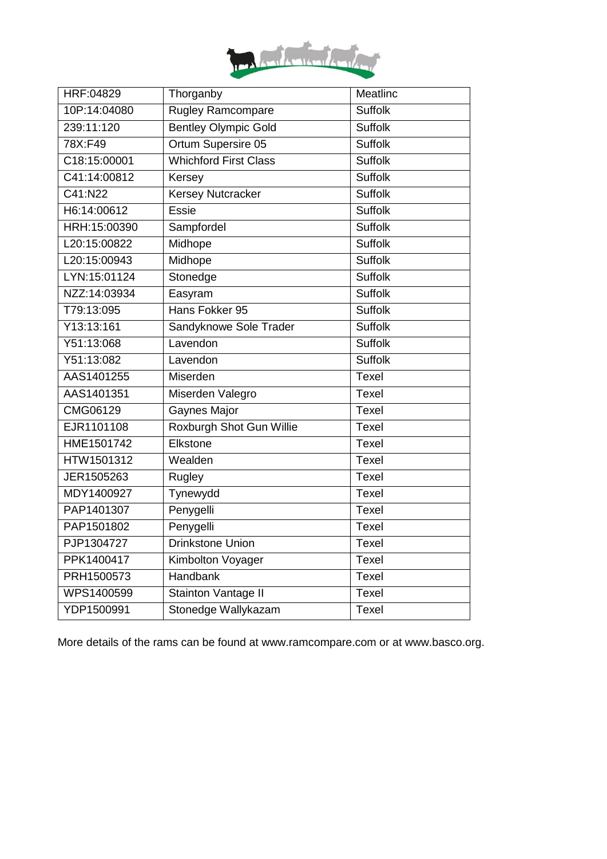

| HRF:04829    | Meatlinc<br>Thorganby       |                |
|--------------|-----------------------------|----------------|
| 10P:14:04080 | Rugley Ramcompare           | <b>Suffolk</b> |
| 239:11:120   | <b>Bentley Olympic Gold</b> | <b>Suffolk</b> |
| 78X:F49      | Ortum Supersire 05          | <b>Suffolk</b> |
| C18:15:00001 | Whichford First Class       | <b>Suffolk</b> |
| C41:14:00812 | Kersey                      | <b>Suffolk</b> |
| C41:N22      | <b>Kersey Nutcracker</b>    | <b>Suffolk</b> |
| H6:14:00612  | <b>Essie</b>                | <b>Suffolk</b> |
| HRH:15:00390 | Sampfordel                  | <b>Suffolk</b> |
| L20:15:00822 | Midhope                     | <b>Suffolk</b> |
| L20:15:00943 | Midhope                     | <b>Suffolk</b> |
| LYN:15:01124 | Stonedge                    | <b>Suffolk</b> |
| NZZ:14:03934 | Easyram                     | <b>Suffolk</b> |
| T79:13:095   | Hans Fokker 95              | <b>Suffolk</b> |
| Y13:13:161   | Sandyknowe Sole Trader      | <b>Suffolk</b> |
| Y51:13:068   | Lavendon                    | <b>Suffolk</b> |
| Y51:13:082   | Lavendon                    | <b>Suffolk</b> |
| AAS1401255   | Miserden                    | <b>Texel</b>   |
| AAS1401351   | Miserden Valegro            | <b>Texel</b>   |
| CMG06129     | Gaynes Major                | <b>Texel</b>   |
| EJR1101108   | Roxburgh Shot Gun Willie    | <b>Texel</b>   |
| HME1501742   | Elkstone                    | <b>Texel</b>   |
| HTW1501312   | Wealden                     | <b>Texel</b>   |
| JER1505263   | Rugley                      | <b>Texel</b>   |
| MDY1400927   | Tynewydd                    | <b>Texel</b>   |
| PAP1401307   | Penygelli                   | <b>Texel</b>   |
| PAP1501802   | Penygelli                   | <b>Texel</b>   |
| PJP1304727   | Drinkstone Union            | Texel          |
| PPK1400417   | Kimbolton Voyager           | Texel          |
| PRH1500573   | Handbank                    | <b>Texel</b>   |
| WPS1400599   | Stainton Vantage II         | Texel          |
| YDP1500991   | Stonedge Wallykazam         | <b>Texel</b>   |
|              |                             |                |

More details of the rams can be found at www.ramcompare.com or at www.basco.org.